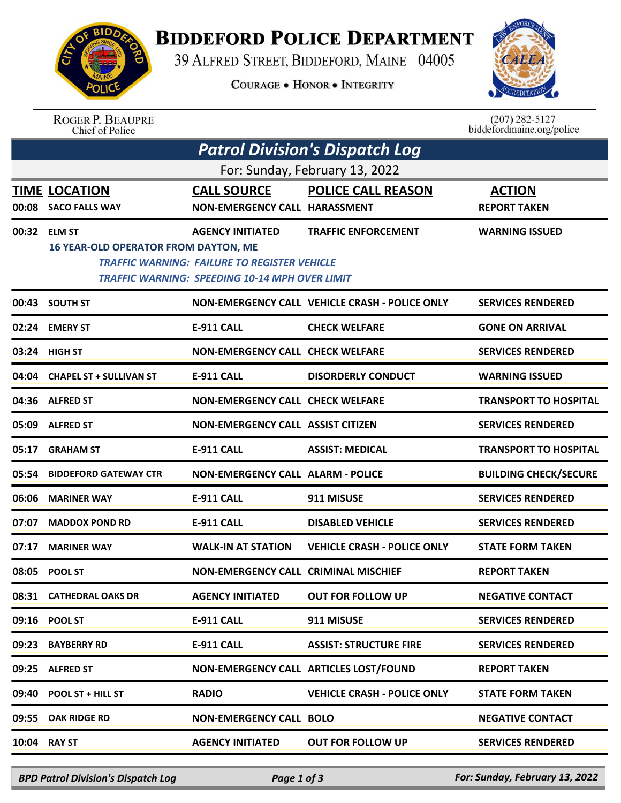

## **BIDDEFORD POLICE DEPARTMENT**

39 ALFRED STREET, BIDDEFORD, MAINE 04005

**COURAGE . HONOR . INTEGRITY** 



ROGER P. BEAUPRE<br>Chief of Police

 $(207)$  282-5127<br>biddefordmaine.org/police

| <b>Patrol Division's Dispatch Log</b> |                                                              |                                                                                                                                         |                                                |                                      |  |  |  |  |
|---------------------------------------|--------------------------------------------------------------|-----------------------------------------------------------------------------------------------------------------------------------------|------------------------------------------------|--------------------------------------|--|--|--|--|
| For: Sunday, February 13, 2022        |                                                              |                                                                                                                                         |                                                |                                      |  |  |  |  |
| 00:08                                 | <b>TIME LOCATION</b><br><b>SACO FALLS WAY</b>                | <b>CALL SOURCE</b><br>NON-EMERGENCY CALL HARASSMENT                                                                                     | <b>POLICE CALL REASON</b>                      | <b>ACTION</b><br><b>REPORT TAKEN</b> |  |  |  |  |
| 00:32                                 | <b>ELM ST</b><br><b>16 YEAR-OLD OPERATOR FROM DAYTON, ME</b> | <b>AGENCY INITIATED</b><br><b>TRAFFIC WARNING: FAILURE TO REGISTER VEHICLE</b><br><b>TRAFFIC WARNING: SPEEDING 10-14 MPH OVER LIMIT</b> | <b>TRAFFIC ENFORCEMENT</b>                     | <b>WARNING ISSUED</b>                |  |  |  |  |
| 00:43                                 | <b>SOUTH ST</b>                                              |                                                                                                                                         | NON-EMERGENCY CALL VEHICLE CRASH - POLICE ONLY | <b>SERVICES RENDERED</b>             |  |  |  |  |
| 02:24                                 | <b>EMERY ST</b>                                              | <b>E-911 CALL</b>                                                                                                                       | <b>CHECK WELFARE</b>                           | <b>GONE ON ARRIVAL</b>               |  |  |  |  |
| 03:24                                 | <b>HIGH ST</b>                                               | <b>NON-EMERGENCY CALL CHECK WELFARE</b>                                                                                                 |                                                | <b>SERVICES RENDERED</b>             |  |  |  |  |
| 04:04                                 | <b>CHAPEL ST + SULLIVAN ST</b>                               | <b>E-911 CALL</b>                                                                                                                       | <b>DISORDERLY CONDUCT</b>                      | <b>WARNING ISSUED</b>                |  |  |  |  |
| 04:36                                 | <b>ALFRED ST</b>                                             | <b>NON-EMERGENCY CALL CHECK WELFARE</b>                                                                                                 |                                                | <b>TRANSPORT TO HOSPITAL</b>         |  |  |  |  |
| 05:09                                 | <b>ALFRED ST</b>                                             | <b>NON-EMERGENCY CALL ASSIST CITIZEN</b>                                                                                                |                                                | <b>SERVICES RENDERED</b>             |  |  |  |  |
| 05:17                                 | <b>GRAHAM ST</b>                                             | <b>E-911 CALL</b>                                                                                                                       | <b>ASSIST: MEDICAL</b>                         | <b>TRANSPORT TO HOSPITAL</b>         |  |  |  |  |
| 05:54                                 | <b>BIDDEFORD GATEWAY CTR</b>                                 | <b>NON-EMERGENCY CALL ALARM - POLICE</b>                                                                                                |                                                | <b>BUILDING CHECK/SECURE</b>         |  |  |  |  |
| 06:06                                 | <b>MARINER WAY</b>                                           | <b>E-911 CALL</b>                                                                                                                       | 911 MISUSE                                     | <b>SERVICES RENDERED</b>             |  |  |  |  |
| 07:07                                 | <b>MADDOX POND RD</b>                                        | E-911 CALL                                                                                                                              | <b>DISABLED VEHICLE</b>                        | <b>SERVICES RENDERED</b>             |  |  |  |  |
| 07:17                                 | <b>MARINER WAY</b>                                           | <b>WALK-IN AT STATION</b>                                                                                                               | <b>VEHICLE CRASH - POLICE ONLY</b>             | <b>STATE FORM TAKEN</b>              |  |  |  |  |
| 08:05                                 | <b>POOL ST</b>                                               | NON-EMERGENCY CALL CRIMINAL MISCHIEF                                                                                                    |                                                | <b>REPORT TAKEN</b>                  |  |  |  |  |
|                                       | 08:31 CATHEDRAL OAKS DR                                      | <b>AGENCY INITIATED</b>                                                                                                                 | <b>OUT FOR FOLLOW UP</b>                       | <b>NEGATIVE CONTACT</b>              |  |  |  |  |
|                                       | 09:16 POOL ST                                                | E-911 CALL                                                                                                                              | 911 MISUSE                                     | <b>SERVICES RENDERED</b>             |  |  |  |  |
| 09:23                                 | <b>BAYBERRY RD</b>                                           | <b>E-911 CALL</b>                                                                                                                       | <b>ASSIST: STRUCTURE FIRE</b>                  | <b>SERVICES RENDERED</b>             |  |  |  |  |
|                                       | 09:25 ALFRED ST                                              |                                                                                                                                         | NON-EMERGENCY CALL ARTICLES LOST/FOUND         | <b>REPORT TAKEN</b>                  |  |  |  |  |
| 09:40                                 | POOL ST + HILL ST                                            | <b>RADIO</b>                                                                                                                            | <b>VEHICLE CRASH - POLICE ONLY</b>             | <b>STATE FORM TAKEN</b>              |  |  |  |  |
| 09:55                                 | <b>OAK RIDGE RD</b>                                          | <b>NON-EMERGENCY CALL BOLO</b>                                                                                                          |                                                | <b>NEGATIVE CONTACT</b>              |  |  |  |  |
|                                       | 10:04 RAY ST                                                 | <b>AGENCY INITIATED</b>                                                                                                                 | <b>OUT FOR FOLLOW UP</b>                       | <b>SERVICES RENDERED</b>             |  |  |  |  |
|                                       |                                                              |                                                                                                                                         |                                                |                                      |  |  |  |  |

*BPD Patrol Division's Dispatch Log Page 1 of 3 For: Sunday, February 13, 2022*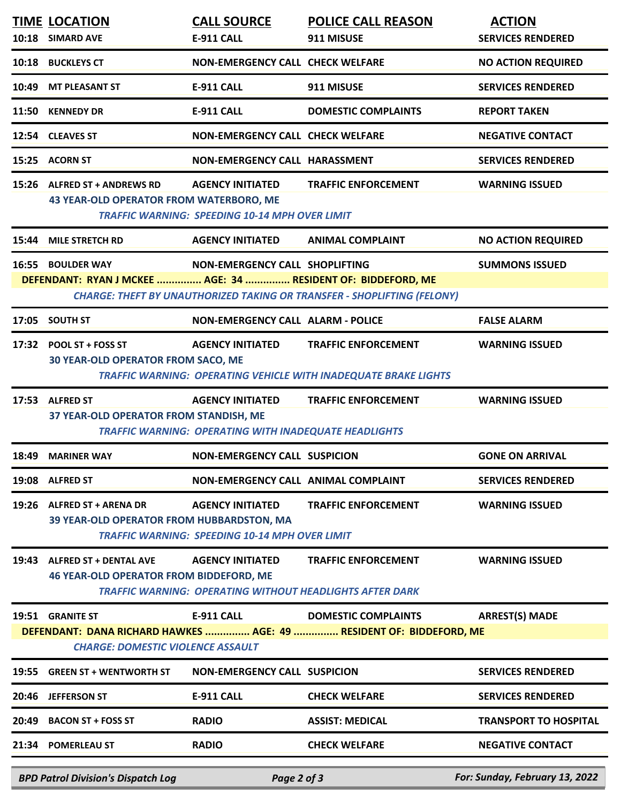|                                                                                                                 | <b>TIME LOCATION</b><br>10:18 SIMARD AVE                                        | <b>CALL SOURCE</b><br><b>E-911 CALL</b>                                          | <b>POLICE CALL REASON</b><br>911 MISUSE                                                       | <b>ACTION</b><br><b>SERVICES RENDERED</b> |  |  |  |
|-----------------------------------------------------------------------------------------------------------------|---------------------------------------------------------------------------------|----------------------------------------------------------------------------------|-----------------------------------------------------------------------------------------------|-------------------------------------------|--|--|--|
|                                                                                                                 | 10:18 BUCKLEYS CT                                                               | <b>NON-EMERGENCY CALL CHECK WELFARE</b>                                          |                                                                                               | <b>NO ACTION REQUIRED</b>                 |  |  |  |
|                                                                                                                 |                                                                                 |                                                                                  |                                                                                               |                                           |  |  |  |
| 10:49                                                                                                           | <b>MT PLEASANT ST</b>                                                           | E-911 CALL                                                                       | 911 MISUSE                                                                                    | <b>SERVICES RENDERED</b>                  |  |  |  |
| 11:50                                                                                                           | <b>KENNEDY DR</b>                                                               | <b>E-911 CALL</b>                                                                | <b>DOMESTIC COMPLAINTS</b>                                                                    | <b>REPORT TAKEN</b>                       |  |  |  |
|                                                                                                                 | 12:54 CLEAVES ST                                                                | <b>NON-EMERGENCY CALL CHECK WELFARE</b>                                          |                                                                                               | <b>NEGATIVE CONTACT</b>                   |  |  |  |
|                                                                                                                 | 15:25 ACORN ST                                                                  | NON-EMERGENCY CALL HARASSMENT                                                    |                                                                                               | <b>SERVICES RENDERED</b>                  |  |  |  |
|                                                                                                                 | 15:26 ALFRED ST + ANDREWS RD<br><b>43 YEAR-OLD OPERATOR FROM WATERBORO, ME</b>  | <b>AGENCY INITIATED</b><br><b>TRAFFIC WARNING: SPEEDING 10-14 MPH OVER LIMIT</b> | <b>TRAFFIC ENFORCEMENT</b>                                                                    | <b>WARNING ISSUED</b>                     |  |  |  |
| 15:44                                                                                                           | <b>MILE STRETCH RD</b>                                                          | <b>AGENCY INITIATED</b>                                                          | <b>ANIMAL COMPLAINT</b>                                                                       | <b>NO ACTION REQUIRED</b>                 |  |  |  |
|                                                                                                                 | 16:55 BOULDER WAY                                                               | NON-EMERGENCY CALL SHOPLIFTING                                                   |                                                                                               | <b>SUMMONS ISSUED</b>                     |  |  |  |
|                                                                                                                 | DEFENDANT: RYAN J MCKEE  AGE: 34  RESIDENT OF: BIDDEFORD, ME                    |                                                                                  |                                                                                               |                                           |  |  |  |
|                                                                                                                 |                                                                                 |                                                                                  | <b>CHARGE: THEFT BY UNAUTHORIZED TAKING OR TRANSFER - SHOPLIFTING (FELONY)</b>                |                                           |  |  |  |
| 17:05                                                                                                           | <b>SOUTH ST</b>                                                                 | <b>NON-EMERGENCY CALL ALARM - POLICE</b>                                         |                                                                                               | <b>FALSE ALARM</b>                        |  |  |  |
|                                                                                                                 | 17:32 POOL ST + FOSS ST<br><b>30 YEAR-OLD OPERATOR FROM SACO, ME</b>            | <b>AGENCY INITIATED</b>                                                          | <b>TRAFFIC ENFORCEMENT</b><br>TRAFFIC WARNING: OPERATING VEHICLE WITH INADEQUATE BRAKE LIGHTS | <b>WARNING ISSUED</b>                     |  |  |  |
|                                                                                                                 | 17:53 ALFRED ST                                                                 | <b>AGENCY INITIATED</b>                                                          | <b>TRAFFIC ENFORCEMENT</b>                                                                    | <b>WARNING ISSUED</b>                     |  |  |  |
|                                                                                                                 | 37 YEAR-OLD OPERATOR FROM STANDISH, ME                                          | <b>TRAFFIC WARNING: OPERATING WITH INADEQUATE HEADLIGHTS</b>                     |                                                                                               |                                           |  |  |  |
| 18:49                                                                                                           | <b>MARINER WAY</b>                                                              | <b>NON-EMERGENCY CALL SUSPICION</b>                                              |                                                                                               | <b>GONE ON ARRIVAL</b>                    |  |  |  |
|                                                                                                                 | 19:08 ALFRED ST                                                                 | NON-EMERGENCY CALL ANIMAL COMPLAINT                                              |                                                                                               | <b>SERVICES RENDERED</b>                  |  |  |  |
|                                                                                                                 | 19:26 ALFRED ST + ARENA DR<br>39 YEAR-OLD OPERATOR FROM HUBBARDSTON, MA         | <b>AGENCY INITIATED</b><br><b>TRAFFIC WARNING: SPEEDING 10-14 MPH OVER LIMIT</b> | <b>TRAFFIC ENFORCEMENT</b>                                                                    | <b>WARNING ISSUED</b>                     |  |  |  |
| 19:43                                                                                                           | <b>ALFRED ST + DENTAL AVE</b><br><b>46 YEAR-OLD OPERATOR FROM BIDDEFORD, ME</b> | <b>AGENCY INITIATED</b>                                                          | <b>TRAFFIC ENFORCEMENT</b><br><b>TRAFFIC WARNING: OPERATING WITHOUT HEADLIGHTS AFTER DARK</b> | <b>WARNING ISSUED</b>                     |  |  |  |
|                                                                                                                 | 19:51 GRANITE ST                                                                | E-911 CALL                                                                       | <b>DOMESTIC COMPLAINTS</b>                                                                    | <b>ARREST(S) MADE</b>                     |  |  |  |
| DEFENDANT: DANA RICHARD HAWKES  AGE: 49  RESIDENT OF: BIDDEFORD, ME<br><b>CHARGE: DOMESTIC VIOLENCE ASSAULT</b> |                                                                                 |                                                                                  |                                                                                               |                                           |  |  |  |
| 19:55                                                                                                           | <b>GREEN ST + WENTWORTH ST</b>                                                  | <b>NON-EMERGENCY CALL SUSPICION</b>                                              |                                                                                               | <b>SERVICES RENDERED</b>                  |  |  |  |
|                                                                                                                 | 20:46 JEFFERSON ST                                                              | <b>E-911 CALL</b>                                                                | <b>CHECK WELFARE</b>                                                                          | <b>SERVICES RENDERED</b>                  |  |  |  |
| 20:49                                                                                                           | <b>BACON ST + FOSS ST</b>                                                       | <b>RADIO</b>                                                                     | <b>ASSIST: MEDICAL</b>                                                                        | <b>TRANSPORT TO HOSPITAL</b>              |  |  |  |
|                                                                                                                 | 21:34 POMERLEAU ST                                                              | <b>RADIO</b>                                                                     | <b>CHECK WELFARE</b>                                                                          | <b>NEGATIVE CONTACT</b>                   |  |  |  |
|                                                                                                                 | <b>BPD Patrol Division's Dispatch Log</b>                                       | Page 2 of 3                                                                      |                                                                                               | For: Sunday, February 13, 2022            |  |  |  |